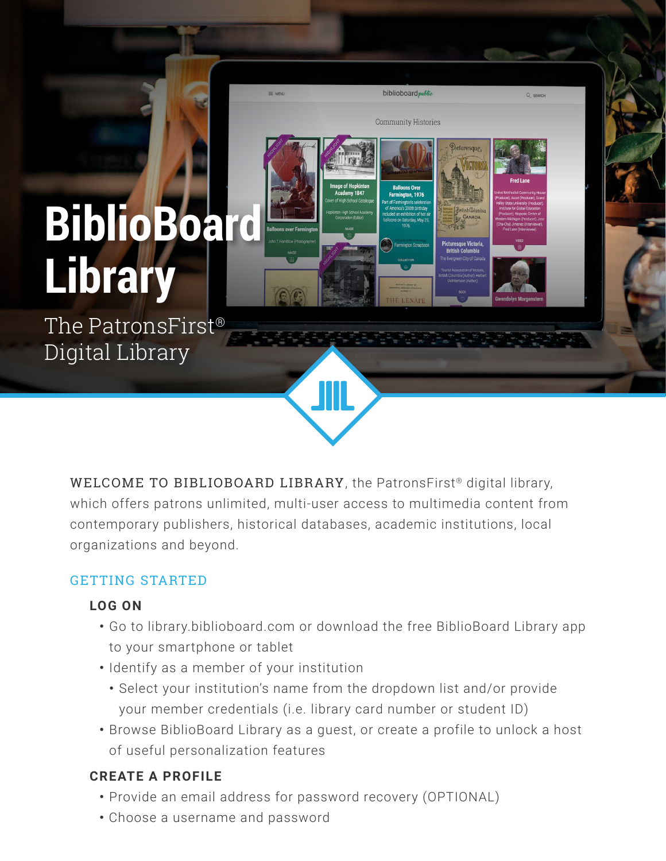# **BiblioBoard Library**

The PatronsFirst® Digital Library

> WELCOME TO BIBLIOBOARD LIBRARY, the PatronsFirst<sup>®</sup> digital library, which offers patrons unlimited, multi-user access to multimedia content from contemporary publishers, historical databases, academic institutions, local organizations and beyond.

biblioboard public

**Community Histories** 

## GETTING STARTED

#### **LOG ON**

- **•** Go to library.biblioboard.com or download the free BiblioBoard Library app to your smartphone or tablet
- **•** Identify as a member of your institution
	- **•** Select your institution's name from the dropdown list and/or provide your member credentials (i.e. library card number or student ID)
- **•** Browse BiblioBoard Library as a guest, or create a profile to unlock a host of useful personalization features

## **CREATE A PROFILE**

- **•** Provide an email address for password recovery (OPTIONAL)
- **•** Choose a username and password